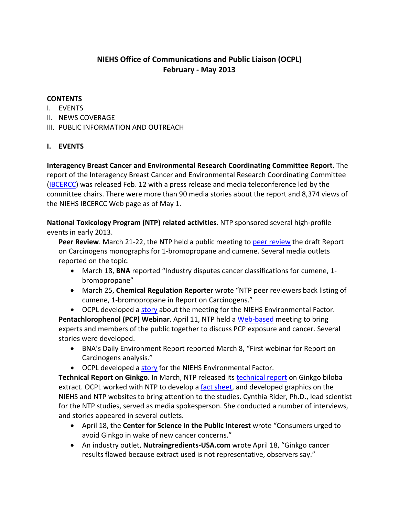# **NIEHS Office of Communications and Public Liaison (OCPL) February - May 2013**

#### **CONTENTS**

- I. EVENTS
- II. NEWS COVERAGE
- III. PUBLIC INFORMATION AND OUTREACH

### **I. EVENTS**

**Interagency Breast Cancer and Environmental Research Coordinating Committee Report**. The report of the Interagency Breast Cancer and Environmental Research Coordinating Committee [\(IBCERCC\)](http://www.niehs.nih.gov/about/boards/ibcercc/) was released Feb. 12 with a press release and media teleconference led by the committee chairs. There were more than 90 media stories about the report and 8,374 views of the NIEHS IBCERCC Web page as of May 1.

**National Toxicology Program (NTP) related activities**. NTP sponsored several high-profile events in early 2013.

**Peer Review**. March 21-22, the NTP held a public meeting to [peer review](http://ntp.niehs.nih.gov/go/38854) the draft Report on Carcinogens monographs for 1-bromopropane and cumene. Several media outlets reported on the topic.

- March 18, **BNA** reported "Industry disputes cancer classifications for cumene, 1 bromopropane"
- March 25, **Chemical Regulation Reporter** wrote "NTP peer reviewers back listing of cumene, 1-bromopropane in Report on Carcinogens."
- OCPL developed a [story](http://www.niehs.nih.gov/news/newsletter/2013/4/science-roc/) about the meeting for the NIEHS Environmental Factor.

**Pentachlorophenol (PCP) Webinar**. April 11, NTP held a [Web-based](http://ntp.niehs.nih.gov/?objectid=9518D219-D531-1B92-D2B379101E29894D) meeting to bring experts and members of the public together to discuss PCP exposure and cancer. Several stories were developed.

- BNA's Daily Environment Report reported March 8, "First webinar for Report on Carcinogens analysis."
- OCPL developed a [story](http://www.niehs.nih.gov/news/newsletter/2013/5/science-ntproc/index.htm) for the NIEHS Environmental Factor.

**Technical Report on Ginkgo**. In March, NTP released its [technical report](http://ntp.niehs.nih.gov/ntp/htdocs/LT_rpts/TR578_508.pdf) on Ginkgo biloba extract. OCPL worked with NTP to develop a [fact sheet,](http://www.niehs.nih.gov/health/assets/docs_f_o/ntp_ginkgo_508.pdf) and developed graphics on the NIEHS and NTP websites to bring attention to the studies. Cynthia Rider, Ph.D., lead scientist for the NTP studies, served as media spokesperson. She conducted a number of interviews, and stories appeared in several outlets.

- April 18, the **Center for Science in the Public Interest** wrote "Consumers urged to avoid Ginkgo in wake of new cancer concerns."
- An industry outlet, **Nutraingredients-USA.com** wrote April 18, "Ginkgo cancer results flawed because extract used is not representative, observers say."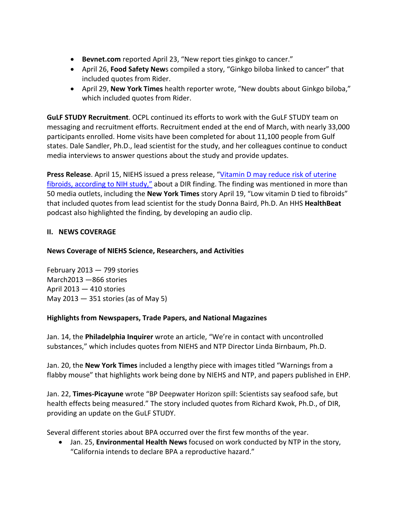- **Bevnet.com** reported April 23, "New report ties ginkgo to cancer."
- April 26, **Food Safety New**s compiled a story, "Ginkgo biloba linked to cancer" that included quotes from Rider.
- April 29, **New York Times** health reporter wrote, "New doubts about Ginkgo biloba," which included quotes from Rider.

**GuLF STUDY Recruitment**. OCPL continued its efforts to work with the GuLF STUDY team on messaging and recruitment efforts. Recruitment ended at the end of March, with nearly 33,000 participants enrolled. Home visits have been completed for about 11,100 people from Gulf states. Dale Sandler, Ph.D., lead scientist for the study, and her colleagues continue to conduct media interviews to answer questions about the study and provide updates.

**Press Release**. April 15, NIEHS issued a press release, ["Vitamin D may reduce risk of uterine](http://www.niehs.nih.gov/news/newsroom/releases/2013/april15/index.cfm)  [fibroids, according to NIH study,](http://www.niehs.nih.gov/news/newsroom/releases/2013/april15/index.cfm)" about a DIR finding. The finding was mentioned in more than 50 media outlets, including the **New York Times** story April 19, "Low vitamin D tied to fibroids" that included quotes from lead scientist for the study Donna Baird, Ph.D. An HHS **HealthBeat** podcast also highlighted the finding, by developing an audio clip.

# **II. NEWS COVERAGE**

# **News Coverage of NIEHS Science, Researchers, and Activities**

February 2013 — 799 stories March2013 —866 stories April 2013 — 410 stories May 2013 — 351 stories (as of May 5)

### **Highlights from Newspapers, Trade Papers, and National Magazines**

Jan. 14, the **Philadelphia Inquirer** wrote an article, "We're in contact with uncontrolled substances," which includes quotes from NIEHS and NTP Director Linda Birnbaum, Ph.D.

Jan. 20, the **New York Times** included a lengthy piece with images titled "Warnings from a flabby mouse" that highlights work being done by NIEHS and NTP, and papers published in EHP.

Jan. 22, **Times-Picayune** wrote "BP Deepwater Horizon spill: Scientists say seafood safe, but health effects being measured." The story included quotes from Richard Kwok, Ph.D., of DIR, providing an update on the GuLF STUDY.

Several different stories about BPA occurred over the first few months of the year.

• Jan. 25, **Environmental Health News** focused on work conducted by NTP in the story, "California intends to declare BPA a reproductive hazard."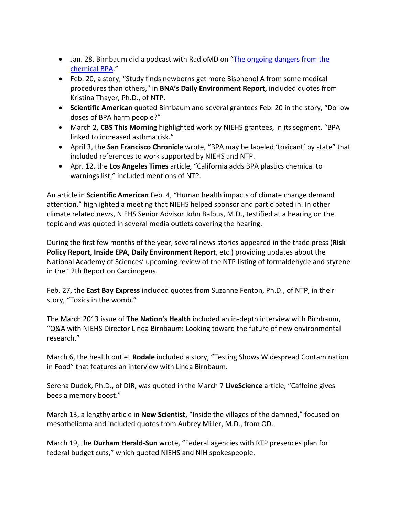- Jan. 28, Birnbaum did a podcast with RadioMD on "The ongoing dangers from the [chemical BPA.](http://radiomd.com/show/staying-well/item/9684-what-you-need-to-know-about-the-chemical-bpa)"
- Feb. 20, a story, "Study finds newborns get more Bisphenol A from some medical procedures than others," in **BNA's Daily Environment Report,** included quotes from Kristina Thayer, Ph.D., of NTP.
- **Scientific American** quoted Birnbaum and several grantees Feb. 20 in the story, "Do low doses of BPA harm people?"
- March 2, **CBS This Morning** highlighted work by NIEHS grantees, in its segment, "BPA linked to increased asthma risk."
- April 3, the **San Francisco Chronicle** wrote, "BPA may be labeled 'toxicant' by state" that included references to work supported by NIEHS and NTP.
- Apr. 12, the **Los Angeles Times** article, "California adds BPA plastics chemical to warnings list," included mentions of NTP.

An article in **Scientific American** Feb. 4, "Human health impacts of climate change demand attention," highlighted a meeting that NIEHS helped sponsor and participated in. In other climate related news, NIEHS Senior Advisor John Balbus, M.D., testified at a hearing on the topic and was quoted in several media outlets covering the hearing.

During the first few months of the year, several news stories appeared in the trade press (**Risk Policy Report, Inside EPA, Daily Environment Report**, etc.) providing updates about the National Academy of Sciences' upcoming review of the NTP listing of formaldehyde and styrene in the 12th Report on Carcinogens.

Feb. 27, the **East Bay Express** included quotes from Suzanne Fenton, Ph.D., of NTP, in their story, "Toxics in the womb."

The March 2013 issue of **The Nation's Health** included an in-depth interview with Birnbaum, "Q&A with NIEHS Director Linda Birnbaum: Looking toward the future of new environmental research."

March 6, the health outlet **Rodale** included a story, "Testing Shows Widespread Contamination in Food" that features an interview with Linda Birnbaum.

Serena Dudek, Ph.D., of DIR, was quoted in the March 7 **LiveScience** article, "Caffeine gives bees a memory boost."

March 13, a lengthy article in **New Scientist,** "Inside the villages of the damned," focused on mesothelioma and included quotes from Aubrey Miller, M.D., from OD.

March 19, the **Durham Herald-Sun** wrote, "Federal agencies with RTP presences plan for federal budget cuts," which quoted NIEHS and NIH spokespeople.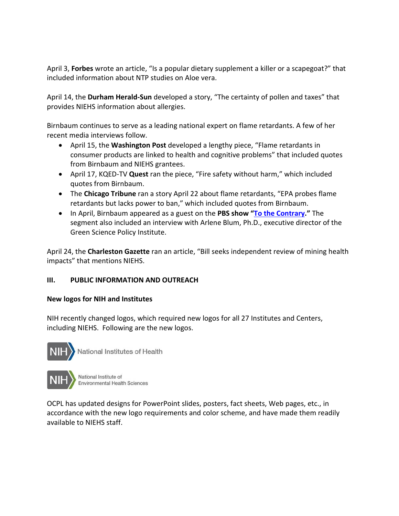April 3, **Forbes** wrote an article, "Is a popular dietary supplement a killer or a scapegoat?" that included information about NTP studies on Aloe vera.

April 14, the **Durham Herald-Sun** developed a story, "The certainty of pollen and taxes" that provides NIEHS information about allergies.

Birnbaum continues to serve as a leading national expert on flame retardants. A few of her recent media interviews follow.

- April 15, the **Washington Post** developed a lengthy piece, "Flame retardants in consumer products are linked to health and cognitive problems" that included quotes from Birnbaum and NIEHS grantees.
- April 17, KQED-TV **Quest** ran the piece, "Fire safety without harm," which included quotes from Birnbaum.
- The **Chicago Tribune** ran a story April 22 about flame retardants, "EPA probes flame retardants but lacks power to ban," which included quotes from Birnbaum.
- In April, Birnbaum appeared as a guest on the **PBS show ["To the Contrary.](http://www.pbs.org/to-the-contrary/watch/651)"** The segment also included an interview with Arlene Blum, Ph.D., executive director of the Green Science Policy Institute.

April 24, the **Charleston Gazette** ran an article, "Bill seeks independent review of mining health impacts" that mentions NIEHS.

# **III. PUBLIC INFORMATION AND OUTREACH**

### **New logos for NIH and Institutes**

NIH recently changed logos, which required new logos for all 27 Institutes and Centers, including NIEHS. Following are the new logos.



National Institutes of Health



National Institute of **Environmental Health Sciences** 

OCPL has updated designs for PowerPoint slides, posters, fact sheets, Web pages, etc., in accordance with the new logo requirements and color scheme, and have made them readily available to NIEHS staff.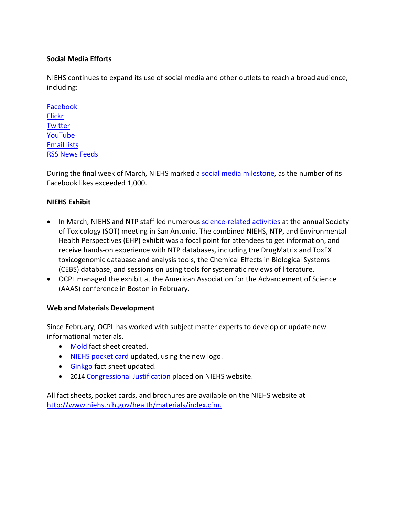### **Social Media Efforts**

NIEHS continues to expand its use of social media and other outlets to reach a broad audience, including:

[Facebook](https://www.facebook.com/NIH.NIEHS) **[Flickr](http://www.flickr.com/photos/niehs) [Twitter](https://twitter.com/niehs)** [YouTube](http://www.youtube.com/theniehs) [Email lists](http://www.niehs.nih.gov/news/newsroom/newslist/index.cfm) [RSS News Feeds](http://www.niehs.nih.gov/news/newsroom/rssfeed/index.cfm)

During the final week of March, NIEHS marked [a social media milestone,](http://www.niehs.nih.gov/news/newsletter/2013/5/spotlight-social/index.htm) as the number of its Facebook likes exceeded 1,000.

### **NIEHS Exhibit**

- In March, NIEHS and NTP staff led numerous [science-related activities](http://www.niehs.nih.gov/news/newsletter/2013/4/spotlight-sot/index.htm) at the annual Society of Toxicology (SOT) meeting in San Antonio. The combined NIEHS, NTP, and Environmental Health Perspectives (EHP) exhibit was a focal point for attendees to get information, and receive hands-on experience with NTP databases, including the DrugMatrix and ToxFX toxicogenomic database and analysis tools, the Chemical Effects in Biological Systems (CEBS) database, and sessions on using tools for systematic reviews of literature.
- OCPL managed the exhibit at the American Association for the Advancement of Science (AAAS) conference in Boston in February.

### **Web and Materials Development**

Since February, OCPL has worked with subject matter experts to develop or update new informational materials.

- [Mold](http://www.niehs.nih.gov/health/materials/mold_508.pdf) fact sheet created.
- [NIEHS pocket card](http://www.niehs.nih.gov/health/assets/docs_f_o/niehs_pocket_card_508.pdf) updated, using the new logo.
- [Ginkgo](http://www.niehs.nih.gov/health/assets/docs_f_o/ntp_ginkgo_508.pdf) fact sheet updated.
- 2014 [Congressional Justification](http://www.niehs.nih.gov/about/congress/index.cfm#a3870) placed on NIEHS website.

All fact sheets, pocket cards, and brochures are available on the NIEHS website at [http://www.niehs.nih.gov/health/materials/index.cfm.](http://www.niehs.nih.gov/health/materials/index.cfm)